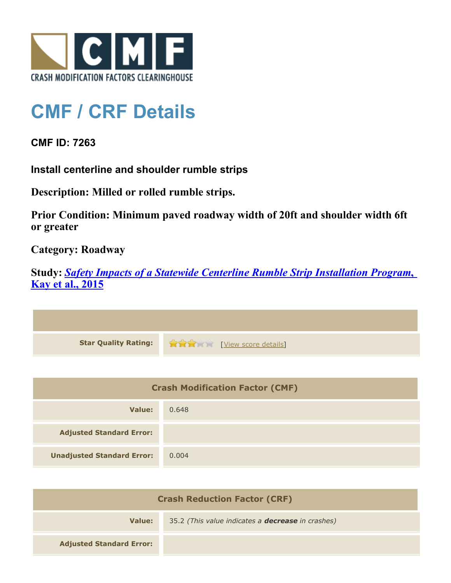

## **CMF / CRF Details**

**CMF ID: 7263**

**Install centerline and shoulder rumble strips**

**Description: Milled or rolled rumble strips.**

**Prior Condition: Minimum paved roadway width of 20ft and shoulder width 6ft or greater**

**Category: Roadway**

**Study:** *[Safety Impacts of a Statewide Centerline Rumble Strip Installation Program](http://www.cmfclearinghouse.org/study_detail.cfm?stid=421)***[,](http://www.cmfclearinghouse.org/study_detail.cfm?stid=421) [Kay et al., 2015](http://www.cmfclearinghouse.org/study_detail.cfm?stid=421)**



| <b>Crash Modification Factor (CMF)</b> |       |
|----------------------------------------|-------|
| Value:                                 | 0.648 |
| <b>Adjusted Standard Error:</b>        |       |
| <b>Unadjusted Standard Error:</b>      | 0.004 |

| <b>Crash Reduction Factor (CRF)</b> |                                                          |
|-------------------------------------|----------------------------------------------------------|
| Value:                              | 35.2 (This value indicates a <b>decrease</b> in crashes) |
| <b>Adjusted Standard Error:</b>     |                                                          |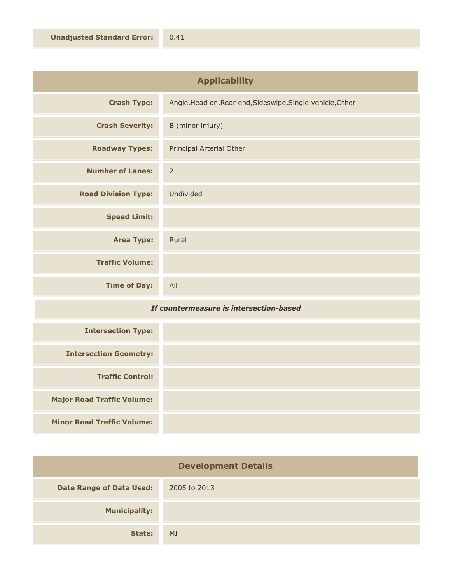| or: | 0.41 |
|-----|------|
|     |      |

| <b>Applicability</b>       |                                                            |
|----------------------------|------------------------------------------------------------|
| <b>Crash Type:</b>         | Angle, Head on, Rear end, Sideswipe, Single vehicle, Other |
| <b>Crash Severity:</b>     | B (minor injury)                                           |
| <b>Roadway Types:</b>      | Principal Arterial Other                                   |
| <b>Number of Lanes:</b>    | $\overline{2}$                                             |
| <b>Road Division Type:</b> | Undivided                                                  |
| <b>Speed Limit:</b>        |                                                            |
| <b>Area Type:</b>          | Rural                                                      |
| <b>Traffic Volume:</b>     |                                                            |
| <b>Time of Day:</b>        | All                                                        |

## *If countermeasure is intersection-based*

| <b>Intersection Type:</b>         |  |
|-----------------------------------|--|
| <b>Intersection Geometry:</b>     |  |
| <b>Traffic Control:</b>           |  |
| <b>Major Road Traffic Volume:</b> |  |
| <b>Minor Road Traffic Volume:</b> |  |

| <b>Development Details</b>      |              |
|---------------------------------|--------------|
| <b>Date Range of Data Used:</b> | 2005 to 2013 |
| <b>Municipality:</b>            |              |
| State:                          | MI           |